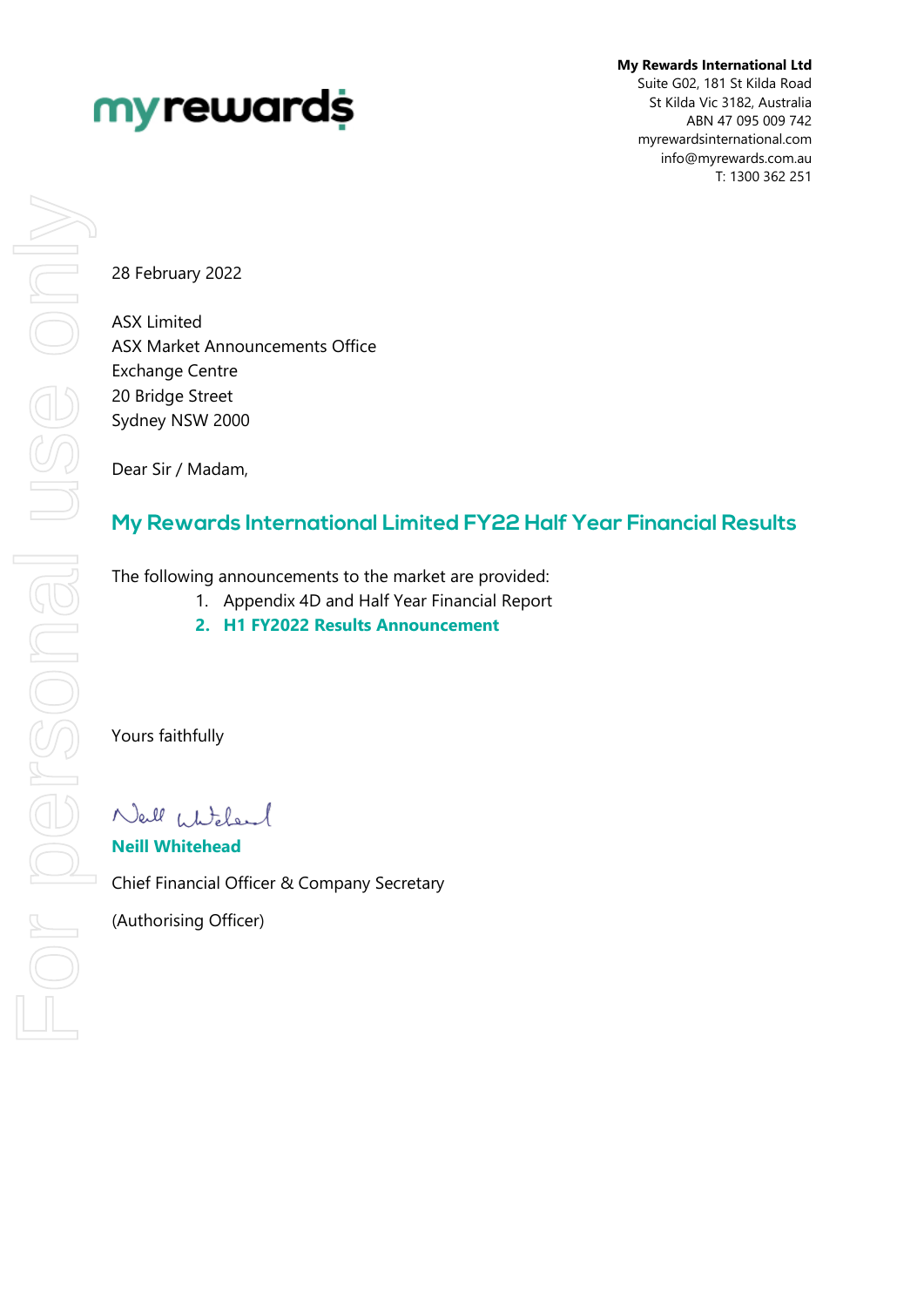# myrewards

**My Rewards International Ltd** Suite G02, 181 St Kilda Road St Kilda Vic 3182, Australia ABN 47 095 009 742 myrewardsinternational.com info@myrewards.com.au T: 1300 362 251

28 February 2022

ASX Limited ASX Market Announcements Office Exchange Centre 20 Bridge Street Sydney NSW 2000

Dear Sir / Madam,

# **My Rewards International Limited FY22 Half Year Financial Results**

The following announcements to the market are provided:

- 1. Appendix 4D and Half Year Financial Report
- **2. H1 FY2022 Results Announcement**

Yours faithfully

Nell Whitelend

**Neill Whitehead** Chief Financial Officer & Company Secretary (Authorising Officer)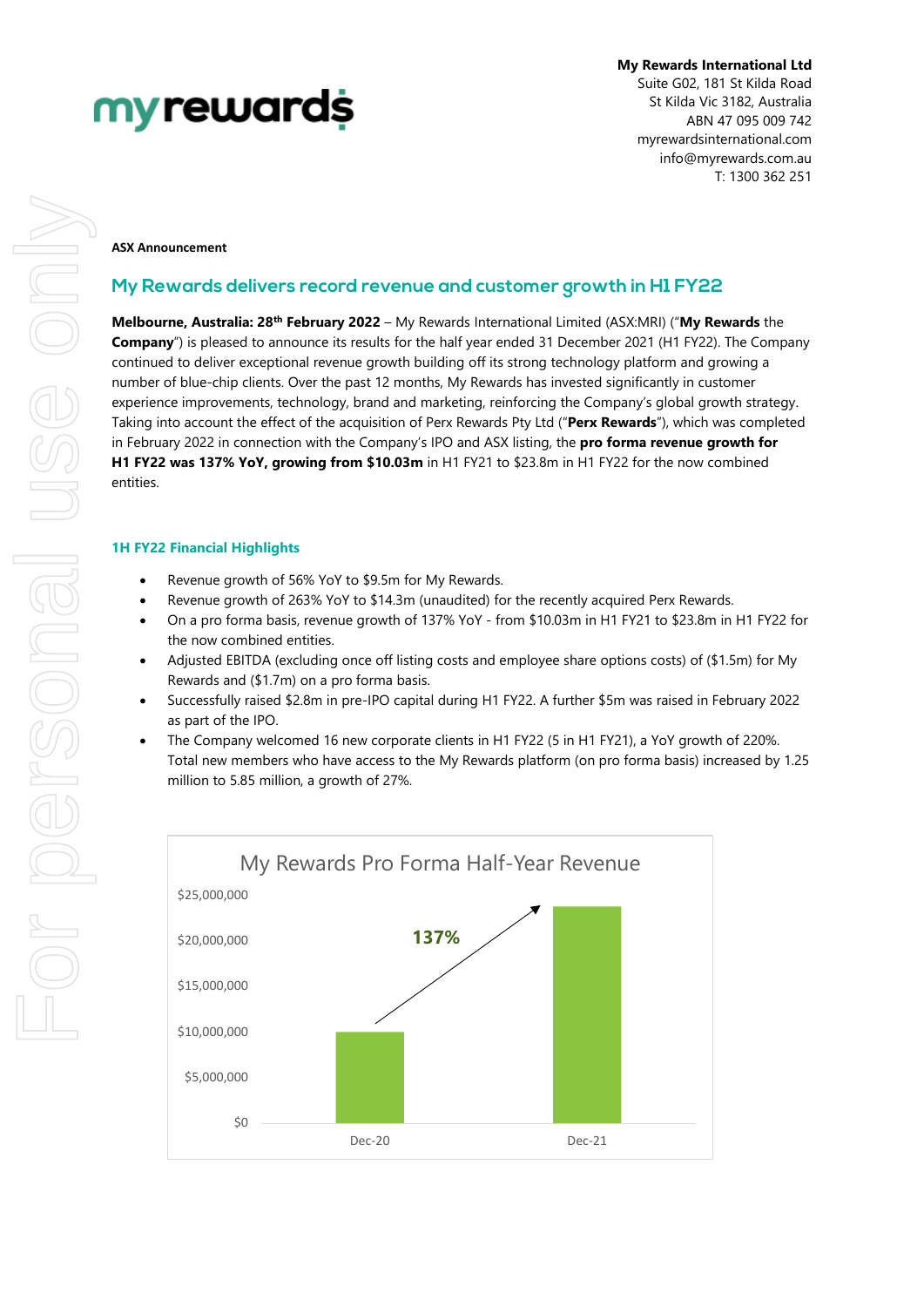# myrewards

**My Rewards International Ltd** Suite G02, 181 St Kilda Road St Kilda Vic 3182, Australia ABN 47 095 009 742 myrewardsinternational.com info@myrewards.com.au T: 1300 362 251

#### **ASX Announcement**

# **My Rewards delivers record revenue and customer growth in H1 FY22**

**Melbourne, Australia: 28th February 2022** – My Rewards International Limited (ASX:MRI) ("**My Rewards** the **Company**") is pleased to announce its results for the half year ended 31 December 2021 (H1 FY22). The Company continued to deliver exceptional revenue growth building off its strong technology platform and growing a number of blue-chip clients. Over the past 12 months, My Rewards has invested significantly in customer experience improvements, technology, brand and marketing, reinforcing the Company's global growth strategy. Taking into account the effect of the acquisition of Perx Rewards Pty Ltd ("**Perx Rewards**"), which was completed in February 2022 in connection with the Company's IPO and ASX listing, the **pro forma revenue growth for H1 FY22 was 137% YoY, growing from \$10.03m** in H1 FY21 to \$23.8m in H1 FY22 for the now combined entities.

## **1H FY22 Financial Highlights**

- Revenue growth of 56% YoY to \$9.5m for My Rewards.
- Revenue growth of 263% YoY to \$14.3m (unaudited) for the recently acquired Perx Rewards.
- On a pro forma basis, revenue growth of 137% YoY from \$10.03m in H1 FY21 to \$23.8m in H1 FY22 for the now combined entities.
- Adjusted EBITDA (excluding once off listing costs and employee share options costs) of (\$1.5m) for My Rewards and (\$1.7m) on a pro forma basis.
- Successfully raised \$2.8m in pre-IPO capital during H1 FY22. A further \$5m was raised in February 2022 as part of the IPO.
- The Company welcomed 16 new corporate clients in H1 FY22 (5 in H1 FY21), a YoY growth of 220%. Total new members who have access to the My Rewards platform (on pro forma basis) increased by 1.25 million to 5.85 million, a growth of 27%.

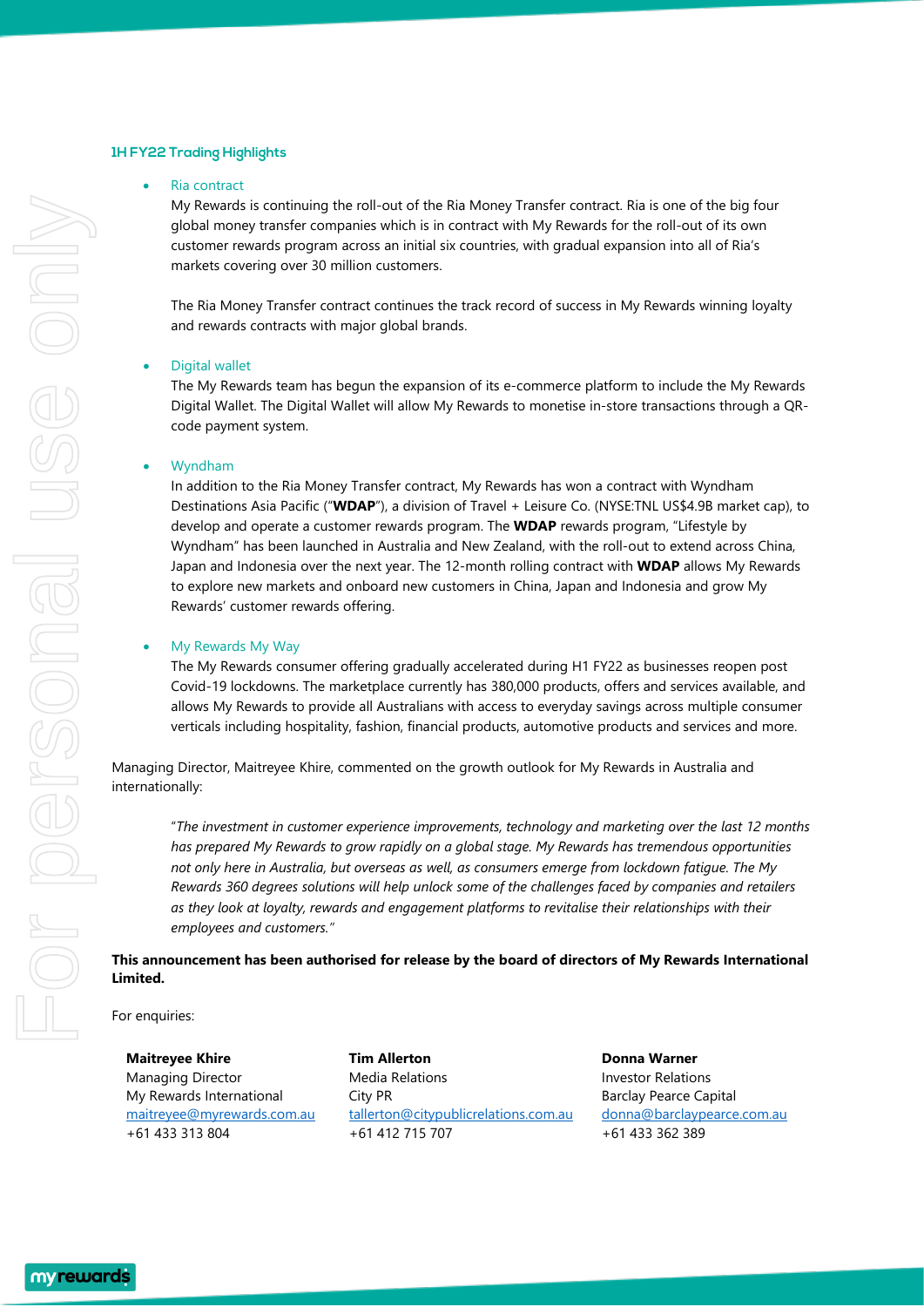### **1H FY22 Trading Highlights**

#### Ria contract

My Rewards is continuing the roll-out of the Ria Money Transfer contract. Ria is one of the big four global money transfer companies which is in contract with My Rewards for the roll-out of its own customer rewards program across an initial six countries, with gradual expansion into all of Ria's markets covering over 30 million customers.

The Ria Money Transfer contract continues the track record of success in My Rewards winning loyalty and rewards contracts with major global brands.

#### • Digital wallet

The My Rewards team has begun the expansion of its e-commerce platform to include the My Rewards Digital Wallet. The Digital Wallet will allow My Rewards to monetise in-store transactions through a QRcode payment system.

#### • Wyndham

In addition to the Ria Money Transfer contract, My Rewards has won a contract with Wyndham Destinations Asia Pacific ("**WDAP**"), a division of Travel + Leisure Co. (NYSE:TNL US\$4.9B market cap), to develop and operate a customer rewards program. The **WDAP** rewards program, "Lifestyle by Wyndham" has been launched in Australia and New Zealand, with the roll-out to extend across China, Japan and Indonesia over the next year. The 12-month rolling contract with **WDAP** allows My Rewards to explore new markets and onboard new customers in China, Japan and Indonesia and grow My Rewards' customer rewards offering.

#### • My Rewards My Way

The My Rewards consumer offering gradually accelerated during H1 FY22 as businesses reopen post Covid-19 lockdowns. The marketplace currently has 380,000 products, offers and services available, and allows My Rewards to provide all Australians with access to everyday savings across multiple consumer verticals including hospitality, fashion, financial products, automotive products and services and more.

Managing Director, Maitreyee Khire, commented on the growth outlook for My Rewards in Australia and internationally:

"*The investment in customer experience improvements, technology and marketing over the last 12 months has prepared My Rewards to grow rapidly on a global stage. My Rewards has tremendous opportunities not only here in Australia, but overseas as well, as consumers emerge from lockdown fatigue. The My Rewards 360 degrees solutions will help unlock some of the challenges faced by companies and retailers as they look at loyalty, rewards and engagement platforms to revitalise their relationships with their employees and customers."*

## **This announcement has been authorised for release by the board of directors of My Rewards International Limited.**

For enquiries:

**Maitreyee Khire** Managing Director My Rewards International [maitreyee@myrewards.com.au](mailto:maitreyee@myrewards.com.au) +61 433 313 804

**Tim Allerton** Media Relations City PR [tallerton@citypublicrelations.com.au](mailto:tallerton@citypublicrelations.com.au) +61 412 715 707

**Donna Warner** Investor Relations Barclay Pearce Capital [donna@barclaypearce.com.au](mailto:donna@barclaypearce.com.au) +61 433 362 389